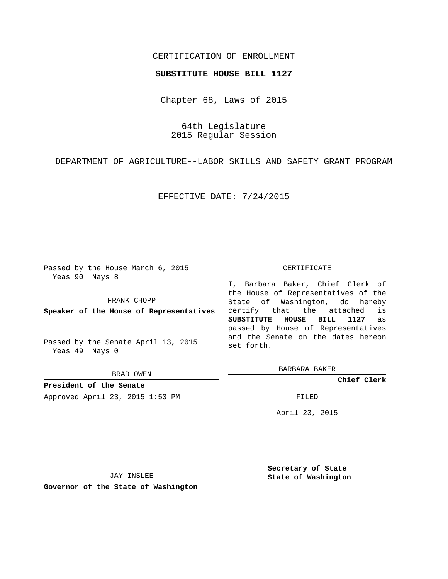## CERTIFICATION OF ENROLLMENT

## **SUBSTITUTE HOUSE BILL 1127**

Chapter 68, Laws of 2015

64th Legislature 2015 Regular Session

DEPARTMENT OF AGRICULTURE--LABOR SKILLS AND SAFETY GRANT PROGRAM

EFFECTIVE DATE: 7/24/2015

Passed by the House March 6, 2015 Yeas 90 Nays 8

FRANK CHOPP

**Speaker of the House of Representatives**

Passed by the Senate April 13, 2015 Yeas 49 Nays 0

BRAD OWEN

**President of the Senate** Approved April 23, 2015 1:53 PM FILED

## CERTIFICATE

I, Barbara Baker, Chief Clerk of the House of Representatives of the State of Washington, do hereby certify that the attached is **SUBSTITUTE HOUSE BILL 1127** as passed by House of Representatives and the Senate on the dates hereon set forth.

BARBARA BAKER

**Chief Clerk**

April 23, 2015

JAY INSLEE

**Governor of the State of Washington**

**Secretary of State State of Washington**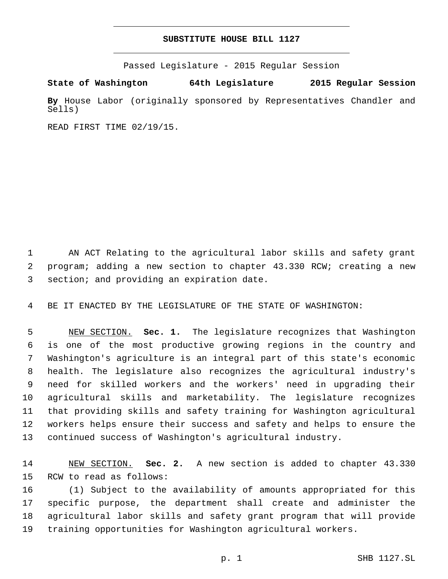## **SUBSTITUTE HOUSE BILL 1127**

Passed Legislature - 2015 Regular Session

**State of Washington 64th Legislature 2015 Regular Session**

**By** House Labor (originally sponsored by Representatives Chandler and Sells)

READ FIRST TIME 02/19/15.

 AN ACT Relating to the agricultural labor skills and safety grant program; adding a new section to chapter 43.330 RCW; creating a new 3 section; and providing an expiration date.

BE IT ENACTED BY THE LEGISLATURE OF THE STATE OF WASHINGTON:

 NEW SECTION. **Sec. 1.** The legislature recognizes that Washington is one of the most productive growing regions in the country and Washington's agriculture is an integral part of this state's economic health. The legislature also recognizes the agricultural industry's need for skilled workers and the workers' need in upgrading their agricultural skills and marketability. The legislature recognizes that providing skills and safety training for Washington agricultural workers helps ensure their success and safety and helps to ensure the continued success of Washington's agricultural industry.

 NEW SECTION. **Sec. 2.** A new section is added to chapter 43.330 15 RCW to read as follows:

 (1) Subject to the availability of amounts appropriated for this specific purpose, the department shall create and administer the agricultural labor skills and safety grant program that will provide training opportunities for Washington agricultural workers.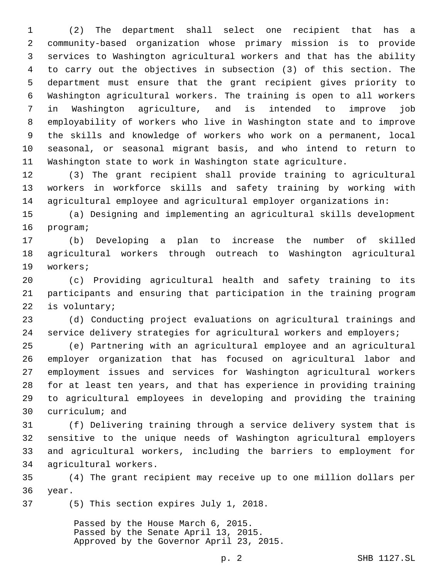(2) The department shall select one recipient that has a community-based organization whose primary mission is to provide services to Washington agricultural workers and that has the ability to carry out the objectives in subsection (3) of this section. The department must ensure that the grant recipient gives priority to Washington agricultural workers. The training is open to all workers in Washington agriculture, and is intended to improve job employability of workers who live in Washington state and to improve the skills and knowledge of workers who work on a permanent, local seasonal, or seasonal migrant basis, and who intend to return to Washington state to work in Washington state agriculture.

 (3) The grant recipient shall provide training to agricultural workers in workforce skills and safety training by working with agricultural employee and agricultural employer organizations in:

 (a) Designing and implementing an agricultural skills development 16 program;

 (b) Developing a plan to increase the number of skilled agricultural workers through outreach to Washington agricultural 19 workers;

 (c) Providing agricultural health and safety training to its participants and ensuring that participation in the training program 22 is voluntary;

 (d) Conducting project evaluations on agricultural trainings and service delivery strategies for agricultural workers and employers;

 (e) Partnering with an agricultural employee and an agricultural employer organization that has focused on agricultural labor and employment issues and services for Washington agricultural workers for at least ten years, and that has experience in providing training to agricultural employees in developing and providing the training 30 curriculum; and

 (f) Delivering training through a service delivery system that is sensitive to the unique needs of Washington agricultural employers and agricultural workers, including the barriers to employment for 34 agricultural workers.

 (4) The grant recipient may receive up to one million dollars per 36 year.

37 (5) This section expires July 1, 2018.

Passed by the House March 6, 2015. Passed by the Senate April 13, 2015. Approved by the Governor April 23, 2015.